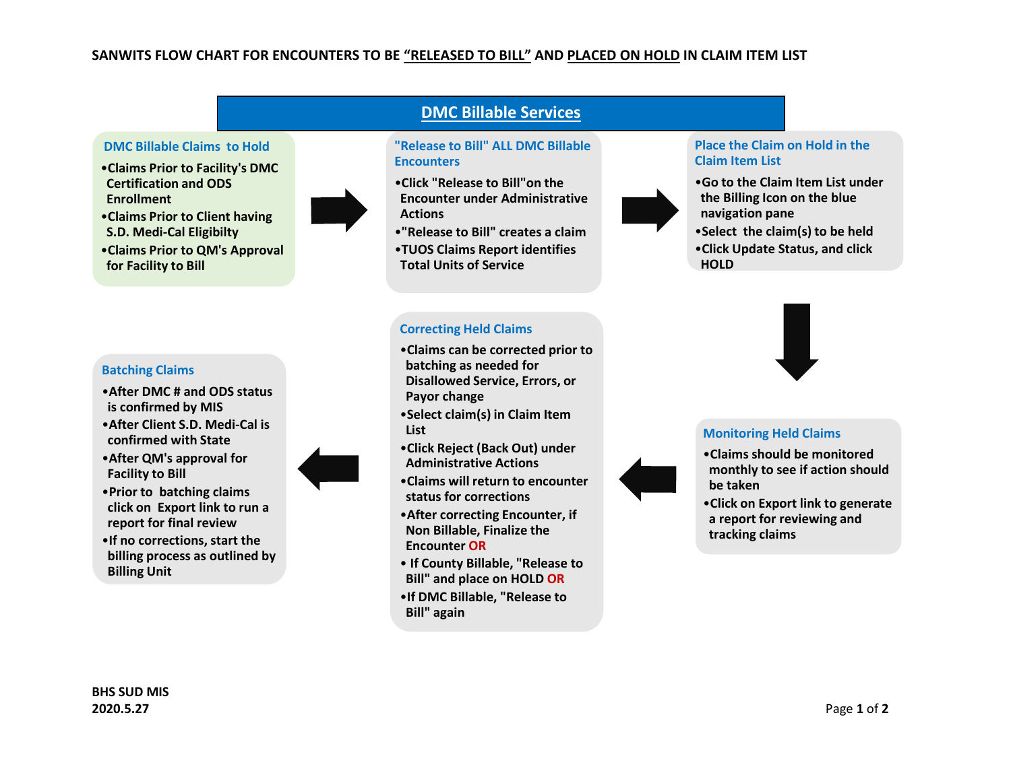## **SANWITS FLOW CHART FOR ENCOUNTERS TO BE "RELEASED TO BILL" AND PLACED ON HOLD IN CLAIM ITEM LIST**

#### **DMC Billable Claims to Hold**

•**Claims Prior to Facility's DMC Certification and ODS Enrollment**



- •**Claims Prior to Client having S.D. Medi-Cal Eligibilty**
- •**Claims Prior to QM's Approval for Facility to Bill**

#### **Batching Claims**

- •**After DMC # and ODS status is confirmed by MIS**
- •**After Client S.D. Medi-Cal is confirmed with State**
- •**After QM's approval for Facility to Bill**



- •**Prior to batching claims click on Export link to run a report for final review**
- •**If no corrections, start the billing process as outlined by Billing Unit**

# **DMC Billable Services**

#### **"Release to Bill" ALL DMC Billable Encounters**

- •**Click "Release to Bill"on the Encounter under Administrative Actions**
- •**"Release to Bill" creates a claim**

•**Claims can be corrected prior to** 

•**Select claim(s) in Claim Item** 

•**Click Reject (Back Out) under Administrative Actions**

•**Claims will return to encounter** 

•**After correcting Encounter, if Non Billable, Finalize the** 

• **If County Billable, "Release to Bill" and place on HOLD OR** •**If DMC Billable, "Release to** 

**status for corrections**

•**TUOS Claims Report identifies Total Units of Service** 

**Correcting Held Claims**

**batching as needed for Disallowed Service, Errors, or** 

**Payor change**

**Encounter OR**

**Bill" again**

**List**

#### **Place the Claim on Hold in the Claim Item List**

- •**Go to the Claim Item List under the Billing Icon on the blue navigation pane**
- •**Select the claim(s) to be held** •**Click Update Status, and click HOLD**



## **Monitoring Held Claims**

- •**Claims should be monitored monthly to see if action should be taken**
- •**Click on Export link to generate a report for reviewing and tracking claims**

**BHS SUD MIS 2020.5.27** Page **1** of **2**